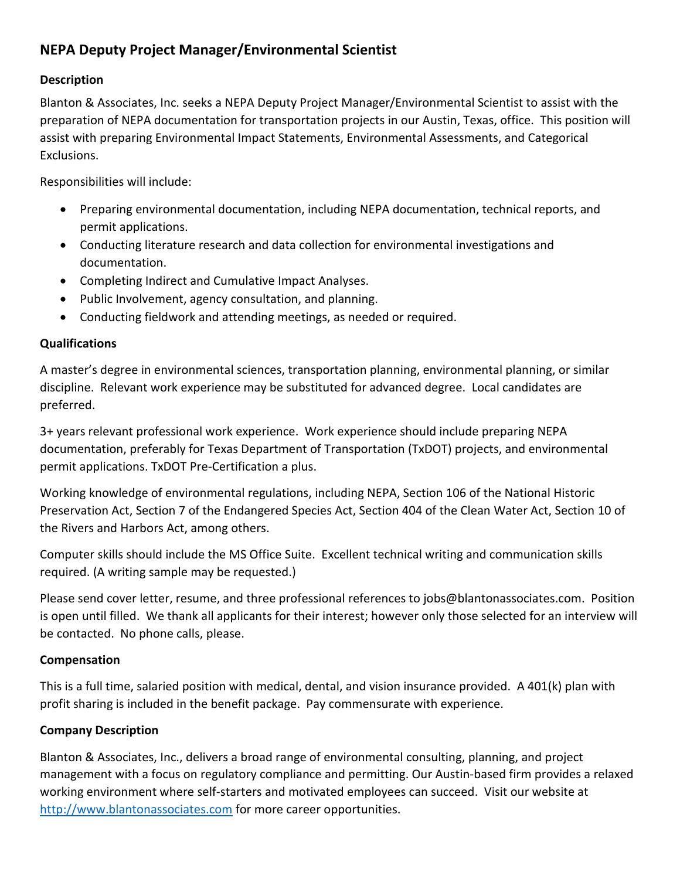# **NEPA Deputy Project Manager/Environmental Scientist**

## **Description**

Blanton & Associates, Inc. seeks a NEPA Deputy Project Manager/Environmental Scientist to assist with the preparation of NEPA documentation for transportation projects in our Austin, Texas, office. This position will assist with preparing Environmental Impact Statements, Environmental Assessments, and Categorical Exclusions.

Responsibilities will include:

- Preparing environmental documentation, including NEPA documentation, technical reports, and permit applications.
- Conducting literature research and data collection for environmental investigations and documentation.
- Completing Indirect and Cumulative Impact Analyses.
- Public Involvement, agency consultation, and planning.
- Conducting fieldwork and attending meetings, as needed or required.

### **Qualifications**

A master's degree in environmental sciences, transportation planning, environmental planning, or similar discipline. Relevant work experience may be substituted for advanced degree. Local candidates are preferred.

3+ years relevant professional work experience. Work experience should include preparing NEPA documentation, preferably for Texas Department of Transportation (TxDOT) projects, and environmental permit applications. TxDOT Pre-Certification a plus.

Working knowledge of environmental regulations, including NEPA, Section 106 of the National Historic Preservation Act, Section 7 of the Endangered Species Act, Section 404 of the Clean Water Act, Section 10 of the Rivers and Harbors Act, among others.

Computer skills should include the MS Office Suite. Excellent technical writing and communication skills required. (A writing sample may be requested.)

Please send cover letter, resume, and three professional references to jobs@blantonassociates.com. Position is open until filled. We thank all applicants for their interest; however only those selected for an interview will be contacted. No phone calls, please.

### **Compensation**

This is a full time, salaried position with medical, dental, and vision insurance provided. A 401(k) plan with profit sharing is included in the benefit package. Pay commensurate with experience.

### **Company Description**

Blanton & Associates, Inc., delivers a broad range of environmental consulting, planning, and project management with a focus on regulatory compliance and permitting. Our Austin-based firm provides a relaxed working environment where self-starters and motivated employees can succeed. Visit our website at [http://www.blantonassociates.com](http://www.blantonassociates.com/) for more career opportunities.